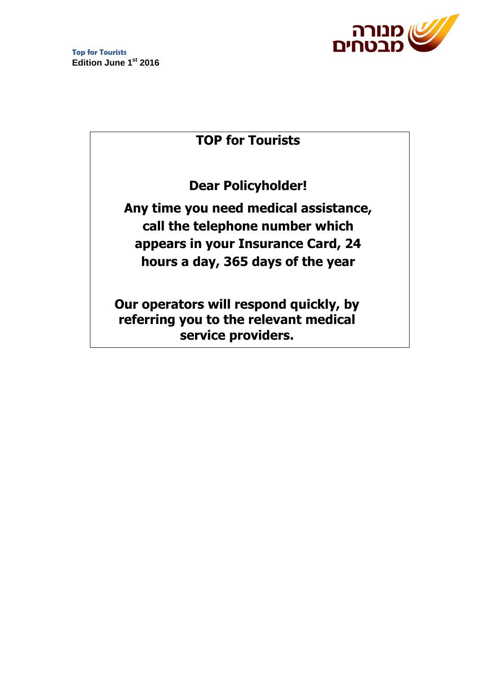

# **TOP for Tourists**

**Dear Policyholder!**

**Any time you need medical assistance, call the telephone number which appears in your Insurance Card, 24 hours a day, 365 days of the year**

**Our operators will respond quickly, by referring you to the relevant medical service providers.**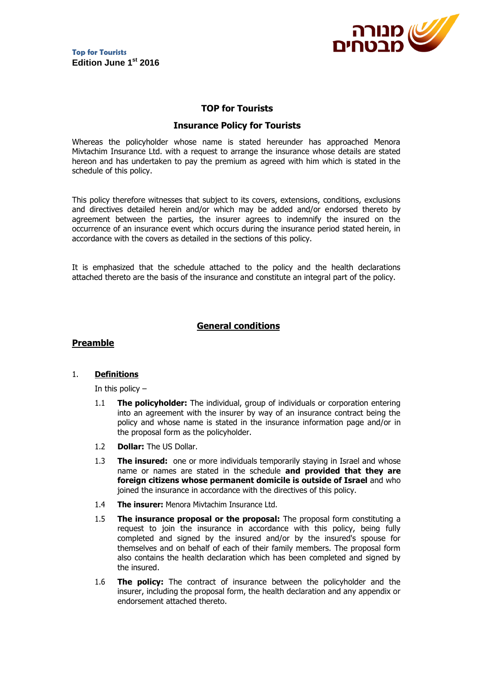

## **TOP for Tourists**

## **Insurance Policy for Tourists**

Whereas the policyholder whose name is stated hereunder has approached Menora Mivtachim Insurance Ltd. with a request to arrange the insurance whose details are stated hereon and has undertaken to pay the premium as agreed with him which is stated in the schedule of this policy.

This policy therefore witnesses that subject to its covers, extensions, conditions, exclusions and directives detailed herein and/or which may be added and/or endorsed thereto by agreement between the parties, the insurer agrees to indemnify the insured on the occurrence of an insurance event which occurs during the insurance period stated herein, in accordance with the covers as detailed in the sections of this policy.

It is emphasized that the schedule attached to the policy and the health declarations attached thereto are the basis of the insurance and constitute an integral part of the policy.

## **General conditions**

#### **Preamble**

#### 1. **Definitions**

In this policy  $-$ 

- 1.1 **The policyholder:** The individual, group of individuals or corporation entering into an agreement with the insurer by way of an insurance contract being the policy and whose name is stated in the insurance information page and/or in the proposal form as the policyholder.
- 1.2 **Dollar:** The US Dollar.
- 1.3 **The insured:** one or more individuals temporarily staying in Israel and whose name or names are stated in the schedule **and provided that they are foreign citizens whose permanent domicile is outside of Israel** and who joined the insurance in accordance with the directives of this policy.
- 1.4 **The insurer:** Menora Mivtachim Insurance Ltd.
- 1.5 **The insurance proposal or the proposal:** The proposal form constituting a request to join the insurance in accordance with this policy, being fully completed and signed by the insured and/or by the insured's spouse for themselves and on behalf of each of their family members. The proposal form also contains the health declaration which has been completed and signed by the insured.
- 1.6 **The policy:** The contract of insurance between the policyholder and the insurer, including the proposal form, the health declaration and any appendix or endorsement attached thereto.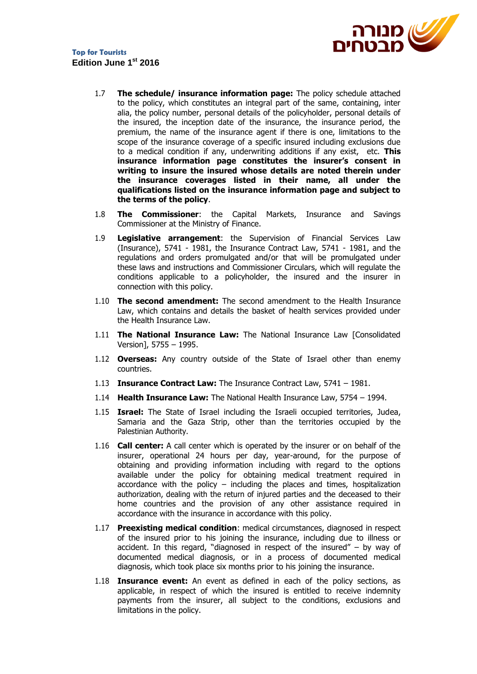

- 1.7 **The schedule/ insurance information page:** The policy schedule attached to the policy, which constitutes an integral part of the same, containing, inter alia, the policy number, personal details of the policyholder, personal details of the insured, the inception date of the insurance, the insurance period, the premium, the name of the insurance agent if there is one, limitations to the scope of the insurance coverage of a specific insured including exclusions due to a medical condition if any, underwriting additions if any exist, etc. **This insurance information page constitutes the insurer's consent in writing to insure the insured whose details are noted therein under the insurance coverages listed in their name, all under the qualifications listed on the insurance information page and subject to the terms of the policy**.
- 1.8 **The Commissioner**: the Capital Markets, Insurance and Savings Commissioner at the Ministry of Finance.
- 1.9 **Legislative arrangement**: the Supervision of Financial Services Law (Insurance), 5741 - 1981, the Insurance Contract Law, 5741 - 1981, and the regulations and orders promulgated and/or that will be promulgated under these laws and instructions and Commissioner Circulars, which will regulate the conditions applicable to a policyholder, the insured and the insurer in connection with this policy.
- 1.10 **The second amendment:** The second amendment to the Health Insurance Law, which contains and details the basket of health services provided under the Health Insurance Law.
- 1.11 **The National Insurance Law:** The National Insurance Law [Consolidated Version], 5755 – 1995.
- 1.12 **Overseas:** Any country outside of the State of Israel other than enemy countries.
- 1.13 **Insurance Contract Law:** The Insurance Contract Law, 5741 1981.
- 1.14 **Health Insurance Law:** The National Health Insurance Law, 5754 1994.
- 1.15 **Israel:** The State of Israel including the Israeli occupied territories, Judea, Samaria and the Gaza Strip, other than the territories occupied by the Palestinian Authority.
- 1.16 **Call center:** A call center which is operated by the insurer or on behalf of the insurer, operational 24 hours per day, year-around, for the purpose of obtaining and providing information including with regard to the options available under the policy for obtaining medical treatment required in accordance with the policy  $-$  including the places and times, hospitalization authorization, dealing with the return of injured parties and the deceased to their home countries and the provision of any other assistance required in accordance with the insurance in accordance with this policy.
- 1.17 **Preexisting medical condition**: medical circumstances, diagnosed in respect of the insured prior to his joining the insurance, including due to illness or accident. In this regard, "diagnosed in respect of the insured" – by way of documented medical diagnosis, or in a process of documented medical diagnosis, which took place six months prior to his joining the insurance.
- 1.18 **Insurance event:** An event as defined in each of the policy sections, as applicable, in respect of which the insured is entitled to receive indemnity payments from the insurer, all subject to the conditions, exclusions and limitations in the policy.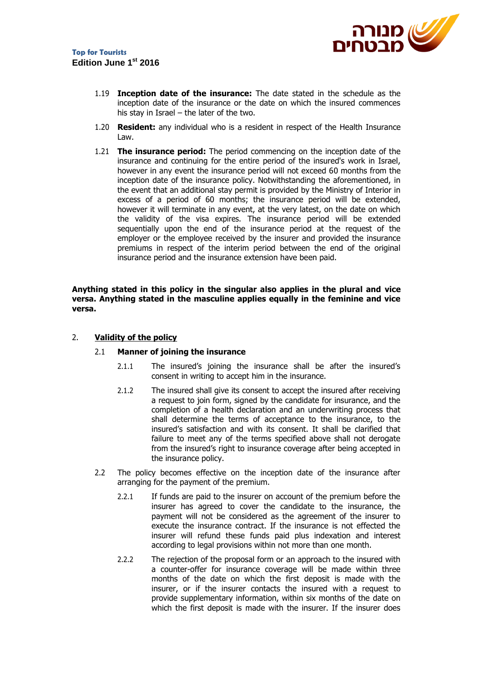

- 1.19 **Inception date of the insurance:** The date stated in the schedule as the inception date of the insurance or the date on which the insured commences his stay in Israel – the later of the two.
- 1.20 **Resident:** any individual who is a resident in respect of the Health Insurance Law.
- 1.21 **The insurance period:** The period commencing on the inception date of the insurance and continuing for the entire period of the insured's work in Israel, however in any event the insurance period will not exceed 60 months from the inception date of the insurance policy. Notwithstanding the aforementioned, in the event that an additional stay permit is provided by the Ministry of Interior in excess of a period of 60 months; the insurance period will be extended, however it will terminate in any event, at the very latest, on the date on which the validity of the visa expires. The insurance period will be extended sequentially upon the end of the insurance period at the request of the employer or the employee received by the insurer and provided the insurance premiums in respect of the interim period between the end of the original insurance period and the insurance extension have been paid.

**Anything stated in this policy in the singular also applies in the plural and vice versa. Anything stated in the masculine applies equally in the feminine and vice versa.**

## 2. **Validity of the policy**

#### 2.1 **Manner of joining the insurance**

- 2.1.1 The insured's joining the insurance shall be after the insured's consent in writing to accept him in the insurance.
- 2.1.2 The insured shall give its consent to accept the insured after receiving a request to join form, signed by the candidate for insurance, and the completion of a health declaration and an underwriting process that shall determine the terms of acceptance to the insurance, to the insured's satisfaction and with its consent. It shall be clarified that failure to meet any of the terms specified above shall not derogate from the insured's right to insurance coverage after being accepted in the insurance policy.
- 2.2 The policy becomes effective on the inception date of the insurance after arranging for the payment of the premium.
	- 2.2.1 If funds are paid to the insurer on account of the premium before the insurer has agreed to cover the candidate to the insurance, the payment will not be considered as the agreement of the insurer to execute the insurance contract. If the insurance is not effected the insurer will refund these funds paid plus indexation and interest according to legal provisions within not more than one month.
	- 2.2.2 The rejection of the proposal form or an approach to the insured with a counter-offer for insurance coverage will be made within three months of the date on which the first deposit is made with the insurer, or if the insurer contacts the insured with a request to provide supplementary information, within six months of the date on which the first deposit is made with the insurer. If the insurer does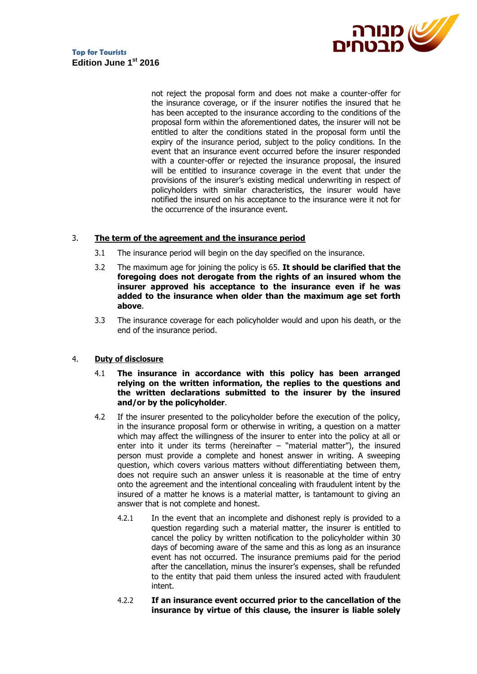

not reject the proposal form and does not make a counter-offer for the insurance coverage, or if the insurer notifies the insured that he has been accepted to the insurance according to the conditions of the proposal form within the aforementioned dates, the insurer will not be entitled to alter the conditions stated in the proposal form until the expiry of the insurance period, subject to the policy conditions. In the event that an insurance event occurred before the insurer responded with a counter-offer or rejected the insurance proposal, the insured will be entitled to insurance coverage in the event that under the provisions of the insurer's existing medical underwriting in respect of policyholders with similar characteristics, the insurer would have notified the insured on his acceptance to the insurance were it not for the occurrence of the insurance event.

#### 3. **The term of the agreement and the insurance period**

- 3.1 The insurance period will begin on the day specified on the insurance.
- 3.2 The maximum age for joining the policy is 65. **It should be clarified that the foregoing does not derogate from the rights of an insured whom the insurer approved his acceptance to the insurance even if he was added to the insurance when older than the maximum age set forth above**.
- 3.3 The insurance coverage for each policyholder would and upon his death, or the end of the insurance period.

#### 4. **Duty of disclosure**

- 4.1 **The insurance in accordance with this policy has been arranged relying on the written information, the replies to the questions and the written declarations submitted to the insurer by the insured and/or by the policyholder**.
- 4.2 If the insurer presented to the policyholder before the execution of the policy, in the insurance proposal form or otherwise in writing, a question on a matter which may affect the willingness of the insurer to enter into the policy at all or enter into it under its terms (hereinafter  $-$  "material matter"), the insured person must provide a complete and honest answer in writing. A sweeping question, which covers various matters without differentiating between them, does not require such an answer unless it is reasonable at the time of entry onto the agreement and the intentional concealing with fraudulent intent by the insured of a matter he knows is a material matter, is tantamount to giving an answer that is not complete and honest.
	- 4.2.1 In the event that an incomplete and dishonest reply is provided to a question regarding such a material matter, the insurer is entitled to cancel the policy by written notification to the policyholder within 30 days of becoming aware of the same and this as long as an insurance event has not occurred. The insurance premiums paid for the period after the cancellation, minus the insurer's expenses, shall be refunded to the entity that paid them unless the insured acted with fraudulent intent.
	- 4.2.2 **If an insurance event occurred prior to the cancellation of the insurance by virtue of this clause, the insurer is liable solely**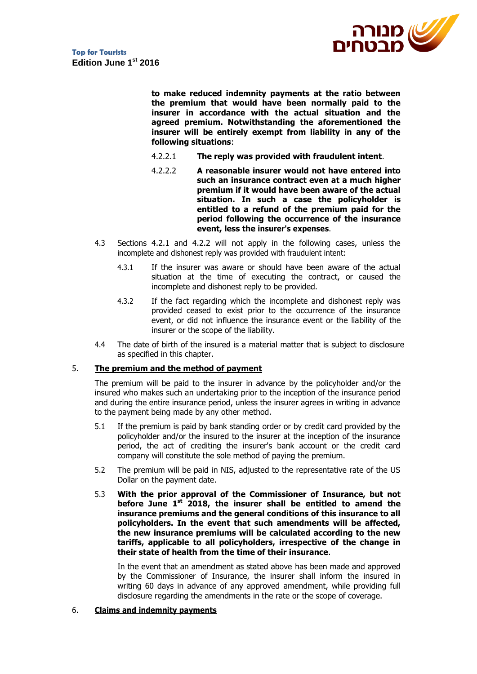

**to make reduced indemnity payments at the ratio between the premium that would have been normally paid to the insurer in accordance with the actual situation and the agreed premium. Notwithstanding the aforementioned the insurer will be entirely exempt from liability in any of the following situations**:

- 4.2.2.1 **The reply was provided with fraudulent intent**.
- 4.2.2.2 **A reasonable insurer would not have entered into such an insurance contract even at a much higher premium if it would have been aware of the actual situation. In such a case the policyholder is entitled to a refund of the premium paid for the period following the occurrence of the insurance event, less the insurer's expenses**.
- 4.3 Sections 4.2.1 and 4.2.2 will not apply in the following cases, unless the incomplete and dishonest reply was provided with fraudulent intent:
	- 4.3.1 If the insurer was aware or should have been aware of the actual situation at the time of executing the contract, or caused the incomplete and dishonest reply to be provided.
	- 4.3.2 If the fact regarding which the incomplete and dishonest reply was provided ceased to exist prior to the occurrence of the insurance event, or did not influence the insurance event or the liability of the insurer or the scope of the liability.
- 4.4 The date of birth of the insured is a material matter that is subject to disclosure as specified in this chapter.

#### 5. **The premium and the method of payment**

The premium will be paid to the insurer in advance by the policyholder and/or the insured who makes such an undertaking prior to the inception of the insurance period and during the entire insurance period, unless the insurer agrees in writing in advance to the payment being made by any other method.

- 5.1 If the premium is paid by bank standing order or by credit card provided by the policyholder and/or the insured to the insurer at the inception of the insurance period, the act of crediting the insurer's bank account or the credit card company will constitute the sole method of paying the premium.
- 5.2 The premium will be paid in NIS, adjusted to the representative rate of the US Dollar on the payment date.
- 5.3 **With the prior approval of the Commissioner of Insurance, but not before June 1st 2018, the insurer shall be entitled to amend the insurance premiums and the general conditions of this insurance to all policyholders. In the event that such amendments will be affected, the new insurance premiums will be calculated according to the new tariffs, applicable to all policyholders, irrespective of the change in their state of health from the time of their insurance**.

In the event that an amendment as stated above has been made and approved by the Commissioner of Insurance, the insurer shall inform the insured in writing 60 days in advance of any approved amendment, while providing full disclosure regarding the amendments in the rate or the scope of coverage.

#### 6. **Claims and indemnity payments**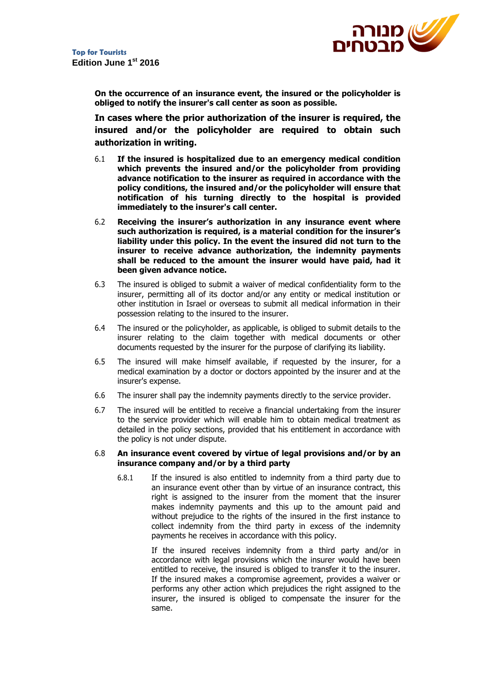

**On the occurrence of an insurance event, the insured or the policyholder is obliged to notify the insurer's call center as soon as possible.**

**In cases where the prior authorization of the insurer is required, the insured and/or the policyholder are required to obtain such authorization in writing.**

- 6.1 **If the insured is hospitalized due to an emergency medical condition which prevents the insured and/or the policyholder from providing advance notification to the insurer as required in accordance with the policy conditions, the insured and/or the policyholder will ensure that notification of his turning directly to the hospital is provided immediately to the insurer's call center.**
- 6.2 **Receiving the insurer's authorization in any insurance event where such authorization is required, is a material condition for the insurer's liability under this policy. In the event the insured did not turn to the insurer to receive advance authorization, the indemnity payments shall be reduced to the amount the insurer would have paid, had it been given advance notice.**
- 6.3 The insured is obliged to submit a waiver of medical confidentiality form to the insurer, permitting all of its doctor and/or any entity or medical institution or other institution in Israel or overseas to submit all medical information in their possession relating to the insured to the insurer.
- 6.4 The insured or the policyholder, as applicable, is obliged to submit details to the insurer relating to the claim together with medical documents or other documents requested by the insurer for the purpose of clarifying its liability.
- 6.5 The insured will make himself available, if requested by the insurer, for a medical examination by a doctor or doctors appointed by the insurer and at the insurer's expense.
- 6.6 The insurer shall pay the indemnity payments directly to the service provider.
- 6.7 The insured will be entitled to receive a financial undertaking from the insurer to the service provider which will enable him to obtain medical treatment as detailed in the policy sections, provided that his entitlement in accordance with the policy is not under dispute.

#### 6.8 **An insurance event covered by virtue of legal provisions and/or by an insurance company and/or by a third party**

6.8.1 If the insured is also entitled to indemnity from a third party due to an insurance event other than by virtue of an insurance contract, this right is assigned to the insurer from the moment that the insurer makes indemnity payments and this up to the amount paid and without prejudice to the rights of the insured in the first instance to collect indemnity from the third party in excess of the indemnity payments he receives in accordance with this policy.

> If the insured receives indemnity from a third party and/or in accordance with legal provisions which the insurer would have been entitled to receive, the insured is obliged to transfer it to the insurer. If the insured makes a compromise agreement, provides a waiver or performs any other action which prejudices the right assigned to the insurer, the insured is obliged to compensate the insurer for the same.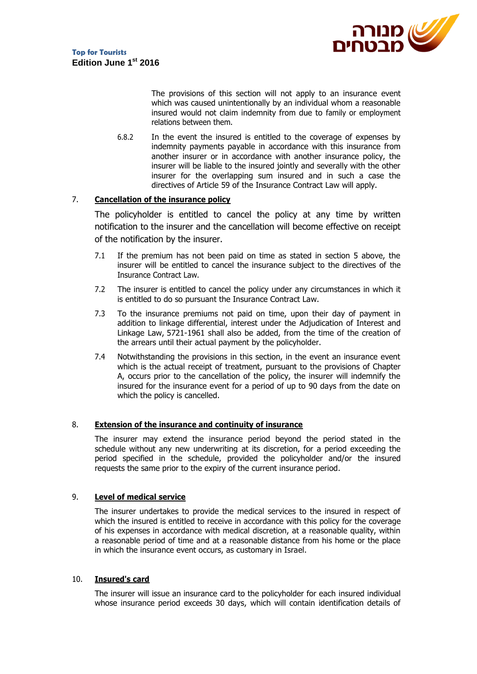

The provisions of this section will not apply to an insurance event which was caused unintentionally by an individual whom a reasonable insured would not claim indemnity from due to family or employment relations between them.

6.8.2 In the event the insured is entitled to the coverage of expenses by indemnity payments payable in accordance with this insurance from another insurer or in accordance with another insurance policy, the insurer will be liable to the insured jointly and severally with the other insurer for the overlapping sum insured and in such a case the directives of Article 59 of the Insurance Contract Law will apply.

## 7. **Cancellation of the insurance policy**

The policyholder is entitled to cancel the policy at any time by written notification to the insurer and the cancellation will become effective on receipt of the notification by the insurer.

- 7.1 If the premium has not been paid on time as stated in section 5 above, the insurer will be entitled to cancel the insurance subject to the directives of the Insurance Contract Law.
- 7.2 The insurer is entitled to cancel the policy under any circumstances in which it is entitled to do so pursuant the Insurance Contract Law.
- 7.3 To the insurance premiums not paid on time, upon their day of payment in addition to linkage differential, interest under the Adjudication of Interest and Linkage Law, 5721-1961 shall also be added, from the time of the creation of the arrears until their actual payment by the policyholder.
- 7.4 Notwithstanding the provisions in this section, in the event an insurance event which is the actual receipt of treatment, pursuant to the provisions of Chapter A, occurs prior to the cancellation of the policy, the insurer will indemnify the insured for the insurance event for a period of up to 90 days from the date on which the policy is cancelled.

#### 8. **Extension of the insurance and continuity of insurance**

The insurer may extend the insurance period beyond the period stated in the schedule without any new underwriting at its discretion, for a period exceeding the period specified in the schedule, provided the policyholder and/or the insured requests the same prior to the expiry of the current insurance period.

## 9. **Level of medical service**

The insurer undertakes to provide the medical services to the insured in respect of which the insured is entitled to receive in accordance with this policy for the coverage of his expenses in accordance with medical discretion, at a reasonable quality, within a reasonable period of time and at a reasonable distance from his home or the place in which the insurance event occurs, as customary in Israel.

## 10. **Insured's card**

The insurer will issue an insurance card to the policyholder for each insured individual whose insurance period exceeds 30 days, which will contain identification details of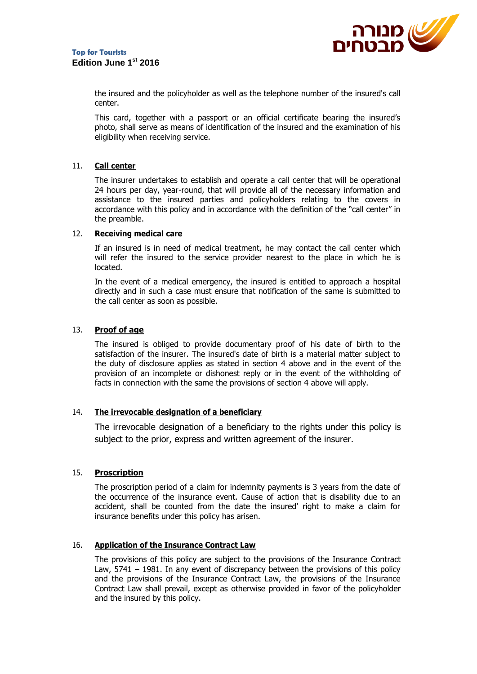

the insured and the policyholder as well as the telephone number of the insured's call center.

This card, together with a passport or an official certificate bearing the insured's photo, shall serve as means of identification of the insured and the examination of his eligibility when receiving service.

## 11. **Call center**

The insurer undertakes to establish and operate a call center that will be operational 24 hours per day, year-round, that will provide all of the necessary information and assistance to the insured parties and policyholders relating to the covers in accordance with this policy and in accordance with the definition of the "call center" in the preamble.

#### 12. **Receiving medical care**

If an insured is in need of medical treatment, he may contact the call center which will refer the insured to the service provider nearest to the place in which he is located.

In the event of a medical emergency, the insured is entitled to approach a hospital directly and in such a case must ensure that notification of the same is submitted to the call center as soon as possible.

#### 13. **Proof of age**

The insured is obliged to provide documentary proof of his date of birth to the satisfaction of the insurer. The insured's date of birth is a material matter subject to the duty of disclosure applies as stated in section 4 above and in the event of the provision of an incomplete or dishonest reply or in the event of the withholding of facts in connection with the same the provisions of section 4 above will apply.

#### 14. **The irrevocable designation of a beneficiary**

The irrevocable designation of a beneficiary to the rights under this policy is subject to the prior, express and written agreement of the insurer.

#### 15. **Proscription**

The proscription period of a claim for indemnity payments is 3 years from the date of the occurrence of the insurance event. Cause of action that is disability due to an accident, shall be counted from the date the insured' right to make a claim for insurance benefits under this policy has arisen.

#### 16. **Application of the Insurance Contract Law**

The provisions of this policy are subject to the provisions of the Insurance Contract Law, 5741 – 1981. In any event of discrepancy between the provisions of this policy and the provisions of the Insurance Contract Law, the provisions of the Insurance Contract Law shall prevail, except as otherwise provided in favor of the policyholder and the insured by this policy.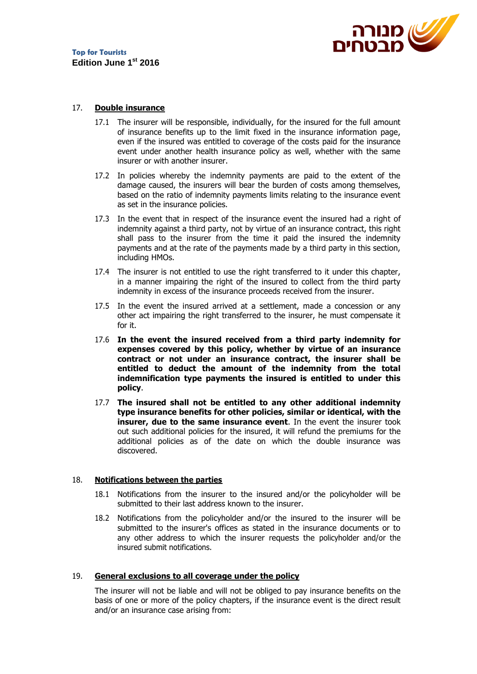

## 17. **Double insurance**

- 17.1 The insurer will be responsible, individually, for the insured for the full amount of insurance benefits up to the limit fixed in the insurance information page, even if the insured was entitled to coverage of the costs paid for the insurance event under another health insurance policy as well, whether with the same insurer or with another insurer.
- 17.2 In policies whereby the indemnity payments are paid to the extent of the damage caused, the insurers will bear the burden of costs among themselves, based on the ratio of indemnity payments limits relating to the insurance event as set in the insurance policies.
- 17.3 In the event that in respect of the insurance event the insured had a right of indemnity against a third party, not by virtue of an insurance contract, this right shall pass to the insurer from the time it paid the insured the indemnity payments and at the rate of the payments made by a third party in this section, including HMOs.
- 17.4 The insurer is not entitled to use the right transferred to it under this chapter, in a manner impairing the right of the insured to collect from the third party indemnity in excess of the insurance proceeds received from the insurer.
- 17.5 In the event the insured arrived at a settlement, made a concession or any other act impairing the right transferred to the insurer, he must compensate it for it.
- 17.6 **In the event the insured received from a third party indemnity for expenses covered by this policy, whether by virtue of an insurance contract or not under an insurance contract, the insurer shall be entitled to deduct the amount of the indemnity from the total indemnification type payments the insured is entitled to under this policy**.
- 17.7 **The insured shall not be entitled to any other additional indemnity type insurance benefits for other policies, similar or identical, with the insurer, due to the same insurance event.** In the event the insurer took out such additional policies for the insured, it will refund the premiums for the additional policies as of the date on which the double insurance was discovered.

#### 18. **Notifications between the parties**

- 18.1 Notifications from the insurer to the insured and/or the policyholder will be submitted to their last address known to the insurer.
- 18.2 Notifications from the policyholder and/or the insured to the insurer will be submitted to the insurer's offices as stated in the insurance documents or to any other address to which the insurer requests the policyholder and/or the insured submit notifications.

#### 19. **General exclusions to all coverage under the policy**

The insurer will not be liable and will not be obliged to pay insurance benefits on the basis of one or more of the policy chapters, if the insurance event is the direct result and/or an insurance case arising from: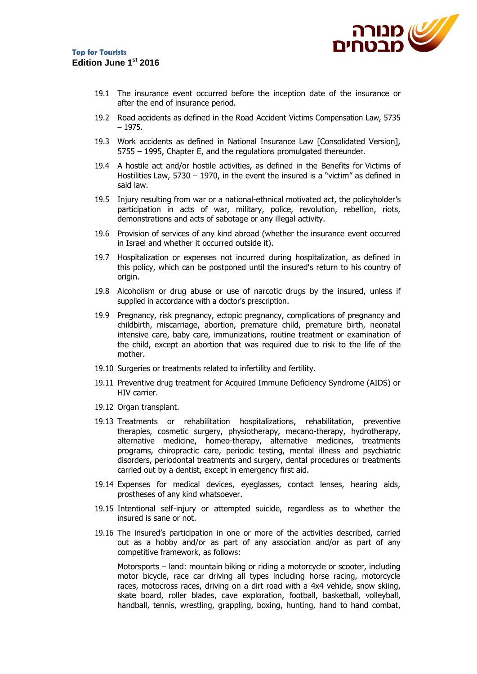

- 19.1 The insurance event occurred before the inception date of the insurance or after the end of insurance period.
- 19.2 Road accidents as defined in the Road Accident Victims Compensation Law, 5735 – 1975.
- 19.3 Work accidents as defined in National Insurance Law [Consolidated Version], 5755 – 1995, Chapter E, and the regulations promulgated thereunder.
- 19.4 A hostile act and/or hostile activities, as defined in the Benefits for Victims of Hostilities Law, 5730 – 1970, in the event the insured is a "victim" as defined in said law.
- 19.5 Injury resulting from war or a national-ethnical motivated act, the policyholder's participation in acts of war, military, police, revolution, rebellion, riots, demonstrations and acts of sabotage or any illegal activity.
- 19.6 Provision of services of any kind abroad (whether the insurance event occurred in Israel and whether it occurred outside it).
- 19.7 Hospitalization or expenses not incurred during hospitalization, as defined in this policy, which can be postponed until the insured's return to his country of origin.
- 19.8 Alcoholism or drug abuse or use of narcotic drugs by the insured, unless if supplied in accordance with a doctor's prescription.
- 19.9 Pregnancy, risk pregnancy, ectopic pregnancy, complications of pregnancy and childbirth, miscarriage, abortion, premature child, premature birth, neonatal intensive care, baby care, immunizations, routine treatment or examination of the child, except an abortion that was required due to risk to the life of the mother.
- 19.10 Surgeries or treatments related to infertility and fertility.
- 19.11 Preventive drug treatment for Acquired Immune Deficiency Syndrome (AIDS) or HIV carrier.
- 19.12 Organ transplant.
- 19.13 Treatments or rehabilitation hospitalizations, rehabilitation, preventive therapies, cosmetic surgery, physiotherapy, mecano-therapy, hydrotherapy, alternative medicine, homeo-therapy, alternative medicines, treatments programs, chiropractic care, periodic testing, mental illness and psychiatric disorders, periodontal treatments and surgery, dental procedures or treatments carried out by a dentist, except in emergency first aid.
- 19.14 Expenses for medical devices, eyeglasses, contact lenses, hearing aids, prostheses of any kind whatsoever.
- 19.15 Intentional self-injury or attempted suicide, regardless as to whether the insured is sane or not.
- 19.16 The insured's participation in one or more of the activities described, carried out as a hobby and/or as part of any association and/or as part of any competitive framework, as follows:

Motorsports – land: mountain biking or riding a motorcycle or scooter, including motor bicycle, race car driving all types including horse racing, motorcycle races, motocross races, driving on a dirt road with a 4x4 vehicle, snow skiing, skate board, roller blades, cave exploration, football, basketball, volleyball, handball, tennis, wrestling, grappling, boxing, hunting, hand to hand combat,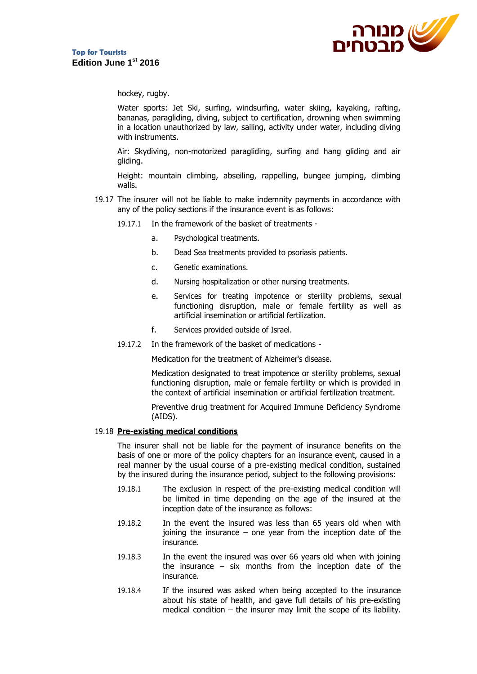

hockey, rugby.

Water sports: Jet Ski, surfing, windsurfing, water skiing, kayaking, rafting, bananas, paragliding, diving, subject to certification, drowning when swimming in a location unauthorized by law, sailing, activity under water, including diving with instruments.

Air: Skydiving, non-motorized paragliding, surfing and hang gliding and air gliding.

Height: mountain climbing, abseiling, rappelling, bungee jumping, climbing walls.

- 19.17 The insurer will not be liable to make indemnity payments in accordance with any of the policy sections if the insurance event is as follows:
	- 19.17.1 In the framework of the basket of treatments
		- a. Psychological treatments.
		- b. Dead Sea treatments provided to psoriasis patients.
		- c. Genetic examinations.
		- d. Nursing hospitalization or other nursing treatments.
		- e. Services for treating impotence or sterility problems, sexual functioning disruption, male or female fertility as well as artificial insemination or artificial fertilization.
		- f. Services provided outside of Israel.
	- 19.17.2 In the framework of the basket of medications -

Medication for the treatment of Alzheimer's disease.

Medication designated to treat impotence or sterility problems, sexual functioning disruption, male or female fertility or which is provided in the context of artificial insemination or artificial fertilization treatment.

Preventive drug treatment for Acquired Immune Deficiency Syndrome (AIDS).

#### 19.18 **Pre-existing medical conditions**

The insurer shall not be liable for the payment of insurance benefits on the basis of one or more of the policy chapters for an insurance event, caused in a real manner by the usual course of a pre-existing medical condition, sustained by the insured during the insurance period, subject to the following provisions:

- 19.18.1 The exclusion in respect of the pre-existing medical condition will be limited in time depending on the age of the insured at the inception date of the insurance as follows:
- 19.18.2 In the event the insured was less than 65 years old when with joining the insurance  $-$  one vear from the inception date of the insurance.
- 19.18.3 In the event the insured was over 66 years old when with joining the insurance  $-$  six months from the inception date of the insurance.
- 19.18.4 If the insured was asked when being accepted to the insurance about his state of health, and gave full details of his pre-existing medical condition – the insurer may limit the scope of its liability.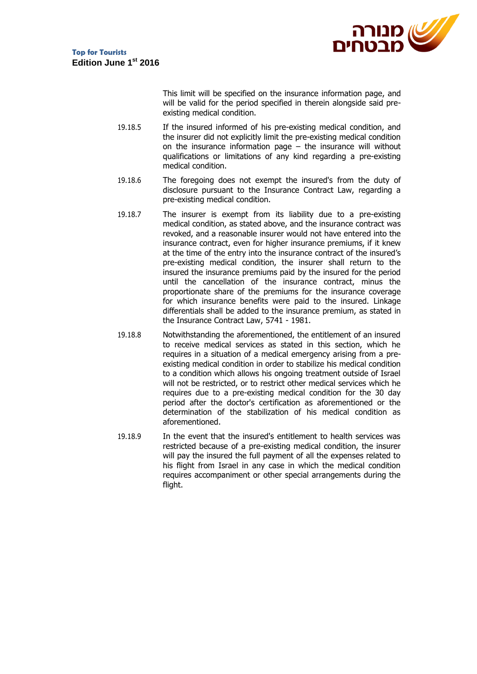

This limit will be specified on the insurance information page, and will be valid for the period specified in therein alongside said preexisting medical condition.

- 19.18.5 If the insured informed of his pre-existing medical condition, and the insurer did not explicitly limit the pre-existing medical condition on the insurance information page  $-$  the insurance will without qualifications or limitations of any kind regarding a pre-existing medical condition.
- 19.18.6 The foregoing does not exempt the insured's from the duty of disclosure pursuant to the Insurance Contract Law, regarding a pre-existing medical condition.
- 19.18.7 The insurer is exempt from its liability due to a pre-existing medical condition, as stated above, and the insurance contract was revoked, and a reasonable insurer would not have entered into the insurance contract, even for higher insurance premiums, if it knew at the time of the entry into the insurance contract of the insured's pre-existing medical condition, the insurer shall return to the insured the insurance premiums paid by the insured for the period until the cancellation of the insurance contract, minus the proportionate share of the premiums for the insurance coverage for which insurance benefits were paid to the insured. Linkage differentials shall be added to the insurance premium, as stated in the Insurance Contract Law, 5741 - 1981.
- 19.18.8 Notwithstanding the aforementioned, the entitlement of an insured to receive medical services as stated in this section, which he requires in a situation of a medical emergency arising from a preexisting medical condition in order to stabilize his medical condition to a condition which allows his ongoing treatment outside of Israel will not be restricted, or to restrict other medical services which he requires due to a pre-existing medical condition for the 30 day period after the doctor's certification as aforementioned or the determination of the stabilization of his medical condition as aforementioned.
- 19.18.9 In the event that the insured's entitlement to health services was restricted because of a pre-existing medical condition, the insurer will pay the insured the full payment of all the expenses related to his flight from Israel in any case in which the medical condition requires accompaniment or other special arrangements during the flight.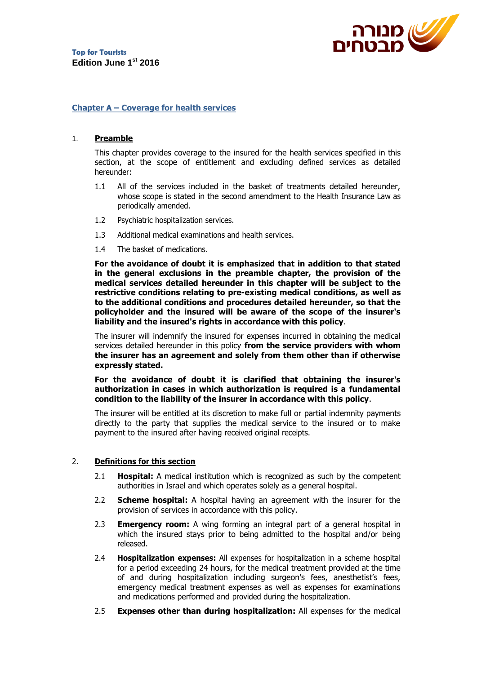

#### **Chapter A – Coverage for health services**

#### 1. **Preamble**

This chapter provides coverage to the insured for the health services specified in this section, at the scope of entitlement and excluding defined services as detailed hereunder:

- 1.1 All of the services included in the basket of treatments detailed hereunder, whose scope is stated in the second amendment to the Health Insurance Law as periodically amended.
- 1.2 Psychiatric hospitalization services.
- 1.3 Additional medical examinations and health services.
- 1.4 The basket of medications.

**For the avoidance of doubt it is emphasized that in addition to that stated in the general exclusions in the preamble chapter, the provision of the medical services detailed hereunder in this chapter will be subject to the restrictive conditions relating to pre-existing medical conditions, as well as to the additional conditions and procedures detailed hereunder, so that the policyholder and the insured will be aware of the scope of the insurer's liability and the insured's rights in accordance with this policy**.

The insurer will indemnify the insured for expenses incurred in obtaining the medical services detailed hereunder in this policy **from the service providers with whom the insurer has an agreement and solely from them other than if otherwise expressly stated.** 

**For the avoidance of doubt it is clarified that obtaining the insurer's authorization in cases in which authorization is required is a fundamental condition to the liability of the insurer in accordance with this policy**.

The insurer will be entitled at its discretion to make full or partial indemnity payments directly to the party that supplies the medical service to the insured or to make payment to the insured after having received original receipts.

#### 2. **Definitions for this section**

- 2.1 **Hospital:** A medical institution which is recognized as such by the competent authorities in Israel and which operates solely as a general hospital.
- 2.2 **Scheme hospital:** A hospital having an agreement with the insurer for the provision of services in accordance with this policy.
- 2.3 **Emergency room:** A wing forming an integral part of a general hospital in which the insured stays prior to being admitted to the hospital and/or being released.
- 2.4 **Hospitalization expenses:** All expenses for hospitalization in a scheme hospital for a period exceeding 24 hours, for the medical treatment provided at the time of and during hospitalization including surgeon's fees, anesthetist's fees, emergency medical treatment expenses as well as expenses for examinations and medications performed and provided during the hospitalization.
- 2.5 **Expenses other than during hospitalization:** All expenses for the medical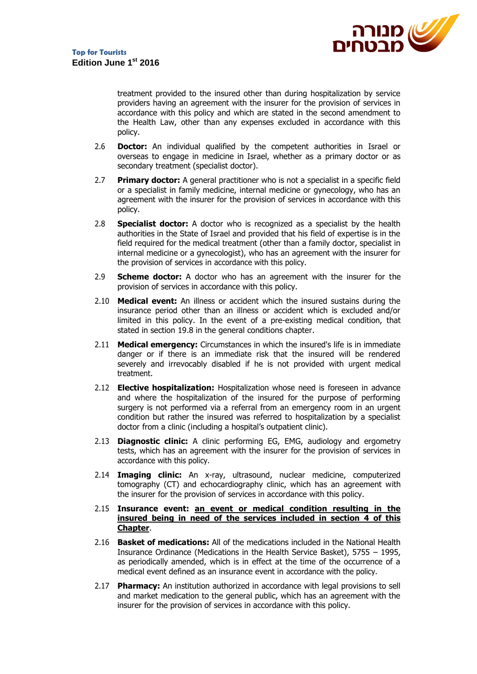

treatment provided to the insured other than during hospitalization by service providers having an agreement with the insurer for the provision of services in accordance with this policy and which are stated in the second amendment to the Health Law, other than any expenses excluded in accordance with this policy.

- 2.6 **Doctor:** An individual qualified by the competent authorities in Israel or overseas to engage in medicine in Israel, whether as a primary doctor or as secondary treatment (specialist doctor).
- 2.7 **Primary doctor:** A general practitioner who is not a specialist in a specific field or a specialist in family medicine, internal medicine or gynecology, who has an agreement with the insurer for the provision of services in accordance with this policy.
- 2.8 **Specialist doctor:** A doctor who is recognized as a specialist by the health authorities in the State of Israel and provided that his field of expertise is in the field required for the medical treatment (other than a family doctor, specialist in internal medicine or a gynecologist), who has an agreement with the insurer for the provision of services in accordance with this policy.
- 2.9 **Scheme doctor:** A doctor who has an agreement with the insurer for the provision of services in accordance with this policy.
- 2.10 **Medical event:** An illness or accident which the insured sustains during the insurance period other than an illness or accident which is excluded and/or limited in this policy. In the event of a pre-existing medical condition, that stated in section 19.8 in the general conditions chapter.
- 2.11 **Medical emergency:** Circumstances in which the insured's life is in immediate danger or if there is an immediate risk that the insured will be rendered severely and irrevocably disabled if he is not provided with urgent medical treatment.
- 2.12 **Elective hospitalization:** Hospitalization whose need is foreseen in advance and where the hospitalization of the insured for the purpose of performing surgery is not performed via a referral from an emergency room in an urgent condition but rather the insured was referred to hospitalization by a specialist doctor from a clinic (including a hospital's outpatient clinic).
- 2.13 **Diagnostic clinic:** A clinic performing EG, EMG, audiology and ergometry tests, which has an agreement with the insurer for the provision of services in accordance with this policy.
- 2.14 **Imaging clinic:** An x-ray, ultrasound, nuclear medicine, computerized tomography (CT) and echocardiography clinic, which has an agreement with the insurer for the provision of services in accordance with this policy.
- 2.15 **Insurance event: an event or medical condition resulting in the insured being in need of the services included in section 4 of this Chapter**.
- 2.16 **Basket of medications:** All of the medications included in the National Health Insurance Ordinance (Medications in the Health Service Basket), 5755 – 1995, as periodically amended, which is in effect at the time of the occurrence of a medical event defined as an insurance event in accordance with the policy.
- 2.17 **Pharmacy:** An institution authorized in accordance with legal provisions to sell and market medication to the general public, which has an agreement with the insurer for the provision of services in accordance with this policy.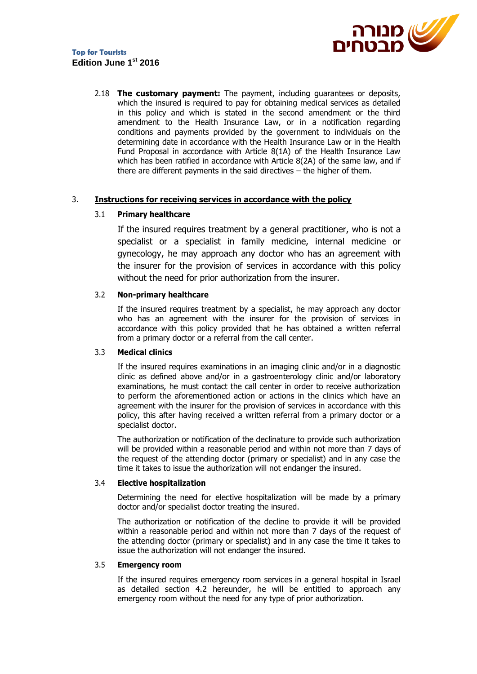

## **Top for Tourists Edition June 1st 2016**

2.18 **The customary payment:** The payment, including guarantees or deposits, which the insured is required to pay for obtaining medical services as detailed in this policy and which is stated in the second amendment or the third amendment to the Health Insurance Law, or in a notification regarding conditions and payments provided by the government to individuals on the determining date in accordance with the Health Insurance Law or in the Health Fund Proposal in accordance with Article 8(1A) of the Health Insurance Law which has been ratified in accordance with Article 8(2A) of the same law, and if there are different payments in the said directives – the higher of them.

#### 3. **Instructions for receiving services in accordance with the policy**

## 3.1 **Primary healthcare**

If the insured requires treatment by a general practitioner, who is not a specialist or a specialist in family medicine, internal medicine or gynecology, he may approach any doctor who has an agreement with the insurer for the provision of services in accordance with this policy without the need for prior authorization from the insurer.

#### 3.2 **Non-primary healthcare**

If the insured requires treatment by a specialist, he may approach any doctor who has an agreement with the insurer for the provision of services in accordance with this policy provided that he has obtained a written referral from a primary doctor or a referral from the call center.

#### 3.3 **Medical clinics**

If the insured requires examinations in an imaging clinic and/or in a diagnostic clinic as defined above and/or in a gastroenterology clinic and/or laboratory examinations, he must contact the call center in order to receive authorization to perform the aforementioned action or actions in the clinics which have an agreement with the insurer for the provision of services in accordance with this policy, this after having received a written referral from a primary doctor or a specialist doctor.

The authorization or notification of the declinature to provide such authorization will be provided within a reasonable period and within not more than 7 days of the request of the attending doctor (primary or specialist) and in any case the time it takes to issue the authorization will not endanger the insured.

#### 3.4 **Elective hospitalization**

Determining the need for elective hospitalization will be made by a primary doctor and/or specialist doctor treating the insured.

The authorization or notification of the decline to provide it will be provided within a reasonable period and within not more than 7 days of the request of the attending doctor (primary or specialist) and in any case the time it takes to issue the authorization will not endanger the insured.

## 3.5 **Emergency room**

If the insured requires emergency room services in a general hospital in Israel as detailed section 4.2 hereunder, he will be entitled to approach any emergency room without the need for any type of prior authorization.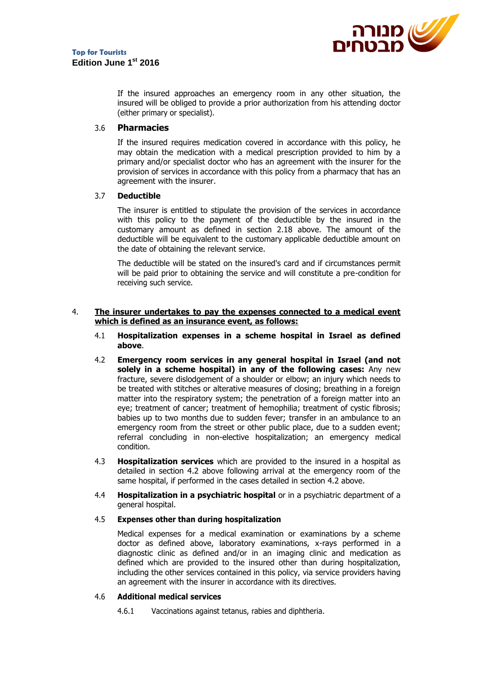

If the insured approaches an emergency room in any other situation, the insured will be obliged to provide a prior authorization from his attending doctor (either primary or specialist).

## 3.6 **Pharmacies**

If the insured requires medication covered in accordance with this policy, he may obtain the medication with a medical prescription provided to him by a primary and/or specialist doctor who has an agreement with the insurer for the provision of services in accordance with this policy from a pharmacy that has an agreement with the insurer.

## 3.7 **Deductible**

The insurer is entitled to stipulate the provision of the services in accordance with this policy to the payment of the deductible by the insured in the customary amount as defined in section 2.18 above. The amount of the deductible will be equivalent to the customary applicable deductible amount on the date of obtaining the relevant service.

The deductible will be stated on the insured's card and if circumstances permit will be paid prior to obtaining the service and will constitute a pre-condition for receiving such service.

#### 4. **The insurer undertakes to pay the expenses connected to a medical event which is defined as an insurance event, as follows:**

- 4.1 **Hospitalization expenses in a scheme hospital in Israel as defined above**.
- 4.2 **Emergency room services in any general hospital in Israel (and not solely in a scheme hospital) in any of the following cases:** Any new fracture, severe dislodgement of a shoulder or elbow; an injury which needs to be treated with stitches or alterative measures of closing; breathing in a foreign matter into the respiratory system; the penetration of a foreign matter into an eye; treatment of cancer; treatment of hemophilia; treatment of cystic fibrosis; babies up to two months due to sudden fever; transfer in an ambulance to an emergency room from the street or other public place, due to a sudden event; referral concluding in non-elective hospitalization; an emergency medical condition.
- 4.3 **Hospitalization services** which are provided to the insured in a hospital as detailed in section 4.2 above following arrival at the emergency room of the same hospital, if performed in the cases detailed in section 4.2 above.
- 4.4 **Hospitalization in a psychiatric hospital** or in a psychiatric department of a general hospital.

#### 4.5 **Expenses other than during hospitalization**

Medical expenses for a medical examination or examinations by a scheme doctor as defined above, laboratory examinations, x-rays performed in a diagnostic clinic as defined and/or in an imaging clinic and medication as defined which are provided to the insured other than during hospitalization, including the other services contained in this policy, via service providers having an agreement with the insurer in accordance with its directives.

#### 4.6 **Additional medical services**

4.6.1 Vaccinations against tetanus, rabies and diphtheria.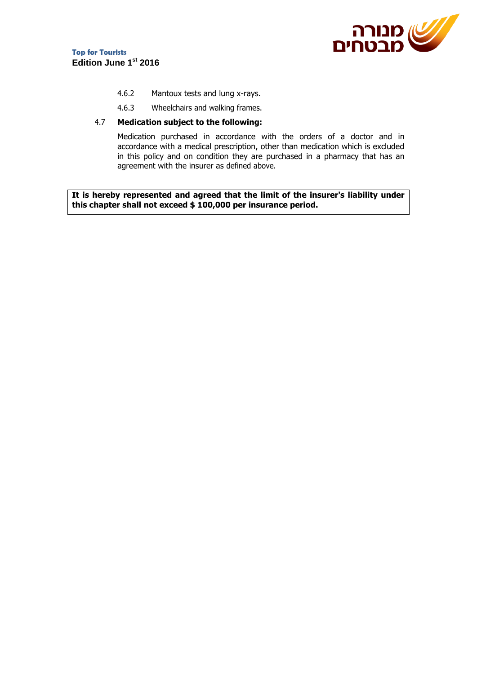



- 4.6.2 Mantoux tests and lung x-rays.
- 4.6.3 Wheelchairs and walking frames.

#### 4.7 **Medication subject to the following:**

Medication purchased in accordance with the orders of a doctor and in accordance with a medical prescription, other than medication which is excluded in this policy and on condition they are purchased in a pharmacy that has an agreement with the insurer as defined above.

**It is hereby represented and agreed that the limit of the insurer's liability under this chapter shall not exceed \$ 100,000 per insurance period.**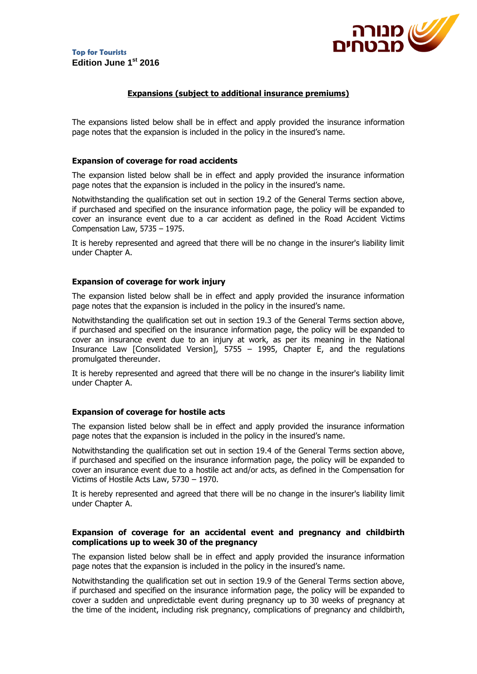

## **Expansions (subject to additional insurance premiums)**

The expansions listed below shall be in effect and apply provided the insurance information page notes that the expansion is included in the policy in the insured's name.

#### **Expansion of coverage for road accidents**

The expansion listed below shall be in effect and apply provided the insurance information page notes that the expansion is included in the policy in the insured's name.

Notwithstanding the qualification set out in section 19.2 of the General Terms section above, if purchased and specified on the insurance information page, the policy will be expanded to cover an insurance event due to a car accident as defined in the Road Accident Victims Compensation Law, 5735 – 1975.

It is hereby represented and agreed that there will be no change in the insurer's liability limit under Chapter A.

#### **Expansion of coverage for work injury**

The expansion listed below shall be in effect and apply provided the insurance information page notes that the expansion is included in the policy in the insured's name.

Notwithstanding the qualification set out in section 19.3 of the General Terms section above, if purchased and specified on the insurance information page, the policy will be expanded to cover an insurance event due to an injury at work, as per its meaning in the National Insurance Law [Consolidated Version], 5755 – 1995, Chapter E, and the regulations promulgated thereunder.

It is hereby represented and agreed that there will be no change in the insurer's liability limit under Chapter A.

#### **Expansion of coverage for hostile acts**

The expansion listed below shall be in effect and apply provided the insurance information page notes that the expansion is included in the policy in the insured's name.

Notwithstanding the qualification set out in section 19.4 of the General Terms section above, if purchased and specified on the insurance information page, the policy will be expanded to cover an insurance event due to a hostile act and/or acts, as defined in the Compensation for Victims of Hostile Acts Law, 5730 – 1970.

It is hereby represented and agreed that there will be no change in the insurer's liability limit under Chapter A.

#### **Expansion of coverage for an accidental event and pregnancy and childbirth complications up to week 30 of the pregnancy**

The expansion listed below shall be in effect and apply provided the insurance information page notes that the expansion is included in the policy in the insured's name.

Notwithstanding the qualification set out in section 19.9 of the General Terms section above, if purchased and specified on the insurance information page, the policy will be expanded to cover a sudden and unpredictable event during pregnancy up to 30 weeks of pregnancy at the time of the incident, including risk pregnancy, complications of pregnancy and childbirth,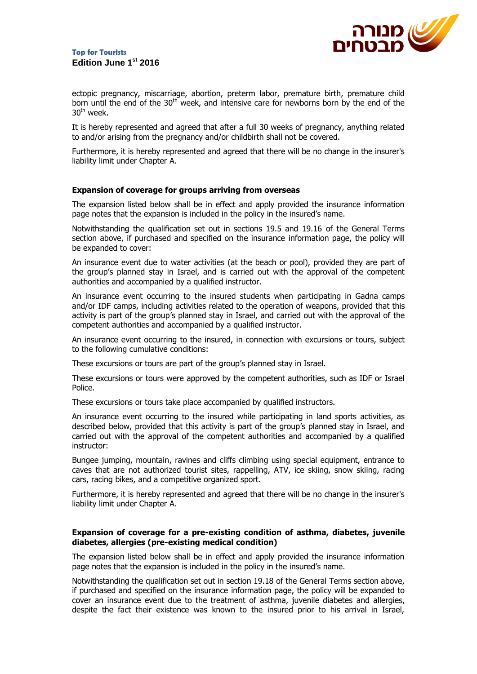

ectopic pregnancy, miscarriage, abortion, preterm labor, premature birth, premature child born until the end of the  $30<sup>th</sup>$  week, and intensive care for newborns born by the end of the  $30<sup>th</sup>$  week.

It is hereby represented and agreed that after a full 30 weeks of pregnancy, anything related to and/or arising from the pregnancy and/or childbirth shall not be covered.

Furthermore, it is hereby represented and agreed that there will be no change in the insurer's liability limit under Chapter A.

#### **Expansion of coverage for groups arriving from overseas**

The expansion listed below shall be in effect and apply provided the insurance information page notes that the expansion is included in the policy in the insured's name.

Notwithstanding the qualification set out in sections 19.5 and 19.16 of the General Terms section above, if purchased and specified on the insurance information page, the policy will be expanded to cover:

An insurance event due to water activities (at the beach or pool), provided they are part of the group's planned stay in Israel, and is carried out with the approval of the competent authorities and accompanied by a qualified instructor.

An insurance event occurring to the insured students when participating in Gadna camps and/or IDF camps, including activities related to the operation of weapons, provided that this activity is part of the group's planned stay in Israel, and carried out with the approval of the competent authorities and accompanied by a qualified instructor.

An insurance event occurring to the insured, in connection with excursions or tours, subject to the following cumulative conditions:

These excursions or tours are part of the group's planned stay in Israel.

These excursions or tours were approved by the competent authorities, such as IDF or Israel Police.

These excursions or tours take place accompanied by qualified instructors.

An insurance event occurring to the insured while participating in land sports activities, as described below, provided that this activity is part of the group's planned stay in Israel, and carried out with the approval of the competent authorities and accompanied by a qualified instructor:

Bungee jumping, mountain, ravines and cliffs climbing using special equipment, entrance to caves that are not authorized tourist sites, rappelling, ATV, ice skiing, snow skiing, racing cars, racing bikes, and a competitive organized sport.

Furthermore, it is hereby represented and agreed that there will be no change in the insurer's liability limit under Chapter A.

#### **Expansion of coverage for a pre-existing condition of asthma, diabetes, juvenile diabetes, allergies (pre-existing medical condition)**

The expansion listed below shall be in effect and apply provided the insurance information page notes that the expansion is included in the policy in the insured's name.

Notwithstanding the qualification set out in section 19.18 of the General Terms section above, if purchased and specified on the insurance information page, the policy will be expanded to cover an insurance event due to the treatment of asthma, juvenile diabetes and allergies, despite the fact their existence was known to the insured prior to his arrival in Israel,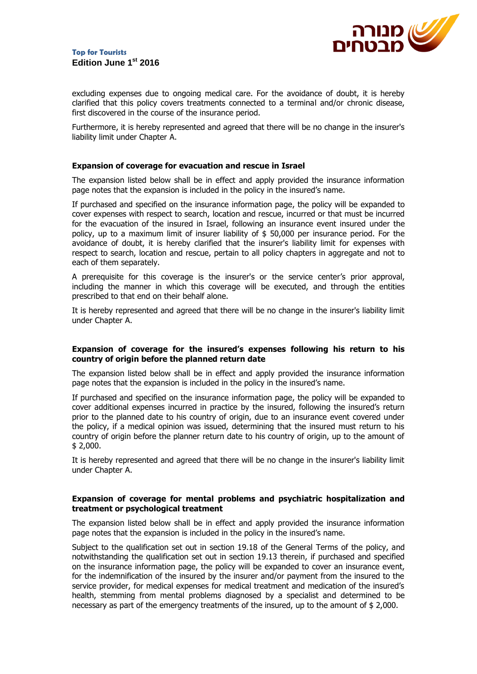

excluding expenses due to ongoing medical care. For the avoidance of doubt, it is hereby clarified that this policy covers treatments connected to a terminal and/or chronic disease, first discovered in the course of the insurance period.

Furthermore, it is hereby represented and agreed that there will be no change in the insurer's liability limit under Chapter A.

#### **Expansion of coverage for evacuation and rescue in Israel**

The expansion listed below shall be in effect and apply provided the insurance information page notes that the expansion is included in the policy in the insured's name.

If purchased and specified on the insurance information page, the policy will be expanded to cover expenses with respect to search, location and rescue, incurred or that must be incurred for the evacuation of the insured in Israel, following an insurance event insured under the policy, up to a maximum limit of insurer liability of \$ 50,000 per insurance period. For the avoidance of doubt, it is hereby clarified that the insurer's liability limit for expenses with respect to search, location and rescue, pertain to all policy chapters in aggregate and not to each of them separately.

A prerequisite for this coverage is the insurer's or the service center's prior approval, including the manner in which this coverage will be executed, and through the entities prescribed to that end on their behalf alone.

It is hereby represented and agreed that there will be no change in the insurer's liability limit under Chapter A.

#### **Expansion of coverage for the insured's expenses following his return to his country of origin before the planned return date**

The expansion listed below shall be in effect and apply provided the insurance information page notes that the expansion is included in the policy in the insured's name.

If purchased and specified on the insurance information page, the policy will be expanded to cover additional expenses incurred in practice by the insured, following the insured's return prior to the planned date to his country of origin, due to an insurance event covered under the policy, if a medical opinion was issued, determining that the insured must return to his country of origin before the planner return date to his country of origin, up to the amount of \$ 2,000.

It is hereby represented and agreed that there will be no change in the insurer's liability limit under Chapter A.

#### **Expansion of coverage for mental problems and psychiatric hospitalization and treatment or psychological treatment**

The expansion listed below shall be in effect and apply provided the insurance information page notes that the expansion is included in the policy in the insured's name.

Subject to the qualification set out in section 19.18 of the General Terms of the policy, and notwithstanding the qualification set out in section 19.13 therein, if purchased and specified on the insurance information page, the policy will be expanded to cover an insurance event, for the indemnification of the insured by the insurer and/or payment from the insured to the service provider, for medical expenses for medical treatment and medication of the insured's health, stemming from mental problems diagnosed by a specialist and determined to be necessary as part of the emergency treatments of the insured, up to the amount of \$ 2,000.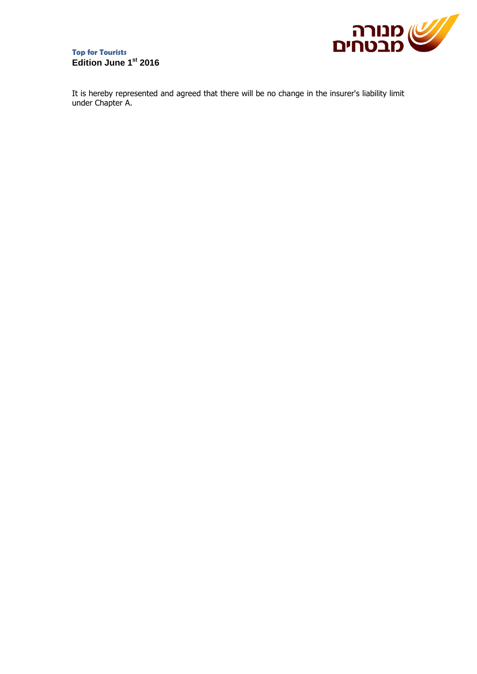

## **Top for Tourists Edition June 1st 2016**

It is hereby represented and agreed that there will be no change in the insurer's liability limit under Chapter A.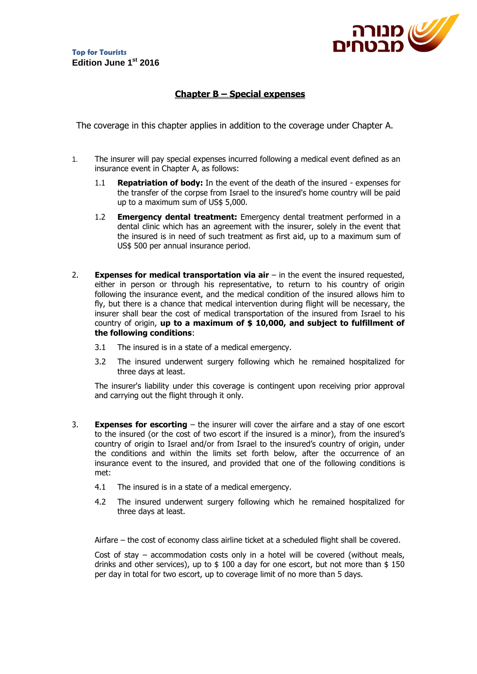

## **Chapter B – Special expenses**

The coverage in this chapter applies in addition to the coverage under Chapter A.

- 1. The insurer will pay special expenses incurred following a medical event defined as an insurance event in Chapter A, as follows:
	- 1.1 **Repatriation of body:** In the event of the death of the insured expenses for the transfer of the corpse from Israel to the insured's home country will be paid up to a maximum sum of US\$ 5,000.
	- 1.2 **Emergency dental treatment:** Emergency dental treatment performed in a dental clinic which has an agreement with the insurer, solely in the event that the insured is in need of such treatment as first aid, up to a maximum sum of US\$ 500 per annual insurance period.
- 2. **Expenses for medical transportation via air** in the event the insured requested, either in person or through his representative, to return to his country of origin following the insurance event, and the medical condition of the insured allows him to fly, but there is a chance that medical intervention during flight will be necessary, the insurer shall bear the cost of medical transportation of the insured from Israel to his country of origin, **up to a maximum of \$ 10,000, and subject to fulfillment of the following conditions**:
	- 3.1 The insured is in a state of a medical emergency.
	- 3.2 The insured underwent surgery following which he remained hospitalized for three days at least.

The insurer's liability under this coverage is contingent upon receiving prior approval and carrying out the flight through it only.

- 3. **Expenses for escorting** the insurer will cover the airfare and a stay of one escort to the insured (or the cost of two escort if the insured is a minor), from the insured's country of origin to Israel and/or from Israel to the insured's country of origin, under the conditions and within the limits set forth below, after the occurrence of an insurance event to the insured, and provided that one of the following conditions is met:
	- 4.1 The insured is in a state of a medical emergency.
	- 4.2 The insured underwent surgery following which he remained hospitalized for three days at least.

Airfare – the cost of economy class airline ticket at a scheduled flight shall be covered.

Cost of stay – accommodation costs only in a hotel will be covered (without meals, drinks and other services), up to  $$100$  a day for one escort, but not more than  $$150$ per day in total for two escort, up to coverage limit of no more than 5 days.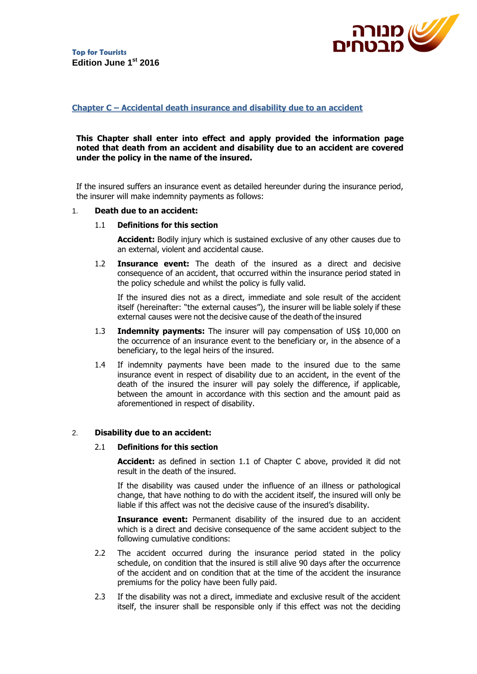

## **Chapter C – Accidental death insurance and disability due to an accident**

#### **This Chapter shall enter into effect and apply provided the information page noted that death from an accident and disability due to an accident are covered under the policy in the name of the insured.**

If the insured suffers an insurance event as detailed hereunder during the insurance period, the insurer will make indemnity payments as follows:

#### 1. **Death due to an accident:**

#### 1.1 **Definitions for this section**

**Accident:** Bodily injury which is sustained exclusive of any other causes due to an external, violent and accidental cause.

1.2 **Insurance event:** The death of the insured as a direct and decisive consequence of an accident, that occurred within the insurance period stated in the policy schedule and whilst the policy is fully valid.

If the insured dies not as a direct, immediate and sole result of the accident itself (hereinafter: "the external causes"), the insurer will be liable solely if these external causes were not the decisive cause of the death of the insured

- 1.3 **Indemnity payments:** The insurer will pay compensation of US\$ 10,000 on the occurrence of an insurance event to the beneficiary or, in the absence of a beneficiary, to the legal heirs of the insured.
- 1.4 If indemnity payments have been made to the insured due to the same insurance event in respect of disability due to an accident, in the event of the death of the insured the insurer will pay solely the difference, if applicable, between the amount in accordance with this section and the amount paid as aforementioned in respect of disability.

#### 2. **Disability due to an accident:**

#### 2.1 **Definitions for this section**

**Accident:** as defined in section 1.1 of Chapter C above, provided it did not result in the death of the insured.

If the disability was caused under the influence of an illness or pathological change, that have nothing to do with the accident itself, the insured will only be liable if this affect was not the decisive cause of the insured's disability.

**Insurance event:** Permanent disability of the insured due to an accident which is a direct and decisive consequence of the same accident subject to the following cumulative conditions:

- 2.2 The accident occurred during the insurance period stated in the policy schedule, on condition that the insured is still alive 90 days after the occurrence of the accident and on condition that at the time of the accident the insurance premiums for the policy have been fully paid.
- 2.3 If the disability was not a direct, immediate and exclusive result of the accident itself, the insurer shall be responsible only if this effect was not the deciding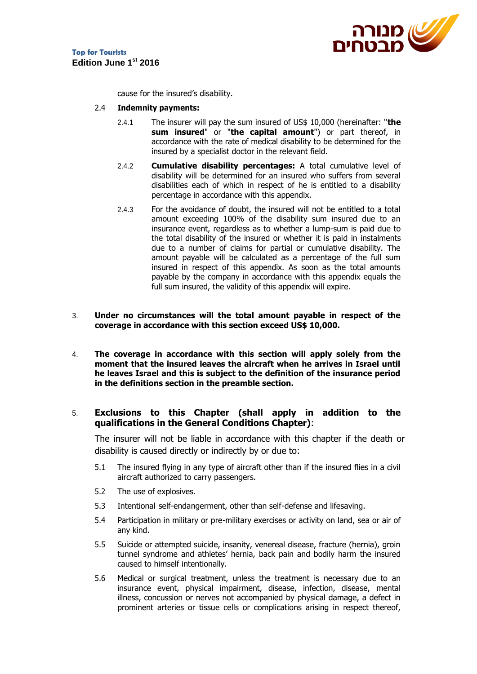

cause for the insured's disability.

- 2.4 **Indemnity payments:**
	- 2.4.1 The insurer will pay the sum insured of US\$ 10,000 (hereinafter: "**the sum insured**" or "**the capital amount**") or part thereof, in accordance with the rate of medical disability to be determined for the insured by a specialist doctor in the relevant field.
	- 2.4.2 **Cumulative disability percentages:** A total cumulative level of disability will be determined for an insured who suffers from several disabilities each of which in respect of he is entitled to a disability percentage in accordance with this appendix.
	- 2.4.3 For the avoidance of doubt, the insured will not be entitled to a total amount exceeding 100% of the disability sum insured due to an insurance event, regardless as to whether a lump-sum is paid due to the total disability of the insured or whether it is paid in instalments due to a number of claims for partial or cumulative disability. The amount payable will be calculated as a percentage of the full sum insured in respect of this appendix. As soon as the total amounts payable by the company in accordance with this appendix equals the full sum insured, the validity of this appendix will expire.
- 3. **Under no circumstances will the total amount payable in respect of the coverage in accordance with this section exceed US\$ 10,000.**
- 4. **The coverage in accordance with this section will apply solely from the moment that the insured leaves the aircraft when he arrives in Israel until he leaves Israel and this is subject to the definition of the insurance period in the definitions section in the preamble section.**

## 5. **Exclusions to this Chapter (shall apply in addition to the qualifications in the General Conditions Chapter)**:

The insurer will not be liable in accordance with this chapter if the death or disability is caused directly or indirectly by or due to:

- 5.1 The insured flying in any type of aircraft other than if the insured flies in a civil aircraft authorized to carry passengers.
- 5.2 The use of explosives.
- 5.3 Intentional self-endangerment, other than self-defense and lifesaving.
- 5.4 Participation in military or pre-military exercises or activity on land, sea or air of any kind.
- 5.5 Suicide or attempted suicide, insanity, venereal disease, fracture (hernia), groin tunnel syndrome and athletes' hernia, back pain and bodily harm the insured caused to himself intentionally.
- 5.6 Medical or surgical treatment, unless the treatment is necessary due to an insurance event, physical impairment, disease, infection, disease, mental illness, concussion or nerves not accompanied by physical damage, a defect in prominent arteries or tissue cells or complications arising in respect thereof,